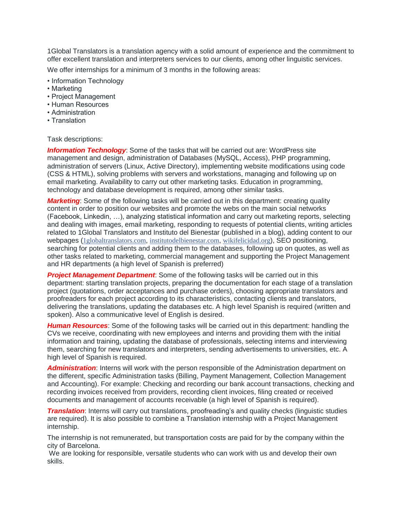1Global Translators is a translation agency with a solid amount of experience and the commitment to offer excellent translation and interpreters services to our clients, among other linguistic services.

We offer internships for a minimum of 3 months in the following areas:

- Information Technology
- Marketing
- Project Management
- Human Resources
- Administration
- Translation

## Task descriptions:

**Information Technology:** Some of the tasks that will be carried out are: WordPress site management and design, administration of Databases (MySQL, Access), PHP programming, administration of servers (Linux, Active Directory), implementing website modifications using code (CSS & HTML), solving problems with servers and workstations, managing and following up on email marketing. Availability to carry out other marketing tasks. Education in programming, technology and database development is required, among other similar tasks.

*Marketing*: Some of the following tasks will be carried out in this department: creating quality content in order to position our websites and promote the webs on the main social networks (Facebook, Linkedin, …), analyzing statistical information and carry out marketing reports, selecting and dealing with images, email marketing, responding to requests of potential clients, writing articles related to 1Global Translators and Instituto del Bienestar (published in a blog), adding content to our webpages ([1globaltranslators.com](https://l.facebook.com/l.php?u=http%3A%2F%2F1globaltranslators.com%2F&h=ATNBHCMpftnS-5wgBcSwLwImhLhzd9nQi6UFUOz_MHYQLAf8l4TXdU69tCU03zTNrmxrcf8nhuMWKG9gwiQAi9uQXbmJ2SVzUabL69e-ln1SxRGFKjN8J55A8cCs0oY5IlzNGiHNQie-46g8lrxCuSz-Erl2jKvVHjqh0cB6ug&enc=AZPw83kxMd1wI_InjagxIFwuiqdF2nr5bwtWYFR3V3tQJSnQe7Muv0mmO-tZAzDkEKfRBw4QmN4CdfD5Ix6_MqEnZ8F2RjpCU6VFdZ37awprReSCXPCeJC7NIMPAq7uSQz55sGS7nKabAAfK8gFZ0iL4DK5vRCBK4_y7AL0pMbOryK3RpXcJR3PdcJIj4duBvkkz3HAISS3cAYTKr5OoLkF-&s=1), [institutodelbienestar.com](https://l.facebook.com/l.php?u=http%3A%2F%2Finstitutodelbienestar.com%2F&h=ATPVIhx5ezuIf-VAUFt43GT7BqeLM_EtHo6JB4u6GHQEVz2OGicdSzE7NciIdhJuPFrQ-Rl2BgB7_zFlV7Kid-Tzk948Smx5aw6yfT2vK6_PmvDzuiNA6OhPah1T2cUOsn9eA1eoAlglfsXr-LqU-ViwrBjCeXS5WxlHw8hrzw&enc=AZOLo50xQp0gD1mMUEG06Hby6NWLAux08UBTx_n_HSBNGHjYxhGryt-0MIItxGWI56j4S2X5RLkricVfVxOyPj-9NYWkdoW0hiQpHUX4hvb4sTVUdEH3OoBkGfVSNEU-OXuk9cF1isdU66ocCvzzUuC_ptPUr3zSuhDXjS5RCS6rb8wwwfz8mce7IxlB1xMsPX6I7lvs9vjTdpmTYVpVJeL6&s=1), [wikifelicidad.org](https://l.facebook.com/l.php?u=http%3A%2F%2Fwikifelicidad.org%2F&h=ATPVZ47iyP_nO1wXOBxl7btHc2aDnkoM7o-j5K-Am57_0OL1fU0BjXOj-1H_7CJ5cA-HWb51OlTcSEBlZ6A63ZsIAV9S_B2UoxrwWbUiNggavvuu734kt9L_JnzJw9bpgFAuRRVSSp-HjzTuMuxYrY2dn0YuOGCGku-JWKTMsw&enc=AZPyFmTsHhmcyJLBrYpuWVIw5YbXaVNX4EQXo20J_DhWEy0nLXAAMOtGJjTYQr0DuZGHsW9DYtIcwZNsNcmC0ONXtLozLl9yQijiQkE7WvLgffTvKHKGpsbUqrXxoiM-VLdVCfm1Ou6tZlGUD_a6vCbWNwGesTdxVJr0joKqQ_jSu3E81RgPlBmp5pPvp3hSq_Pb9xF_JWZNg6NjZNE0HSmI&s=1)), SEO positioning, searching for potential clients and adding them to the databases, following up on quotes, as well as other tasks related to marketing, commercial management and supporting the Project Management and HR departments (a high level of Spanish is preferred)

**Project Management Department**: Some of the following tasks will be carried out in this department: starting translation projects, preparing the documentation for each stage of a translation project (quotations, order acceptances and purchase orders), choosing appropriate translators and proofreaders for each project according to its characteristics, contacting clients and translators, delivering the translations, updating the databases etc. A high level Spanish is required (written and spoken). Also a communicative level of English is desired.

*Human Resources*: Some of the following tasks will be carried out in this department: handling the CVs we receive, coordinating with new employees and interns and providing them with the initial information and training, updating the database of professionals, selecting interns and interviewing them, searching for new translators and interpreters, sending advertisements to universities, etc. A high level of Spanish is required.

*Administration*: Interns will work with the person responsible of the Administration department on the different, specific Administration tasks (Billing, Payment Management, Collection Management and Accounting). For example: Checking and recording our bank account transactions, checking and recording invoices received from providers, recording client invoices, filing created or received documents and management of accounts receivable (a high level of Spanish is required).

*Translation*: Interns will carry out translations, proofreading's and quality checks (linguistic studies are required). It is also possible to combine a Translation internship with a Project Management internship.

The internship is not remunerated, but transportation costs are paid for by the company within the city of Barcelona.

We are looking for responsible, versatile students who can work with us and develop their own skills.